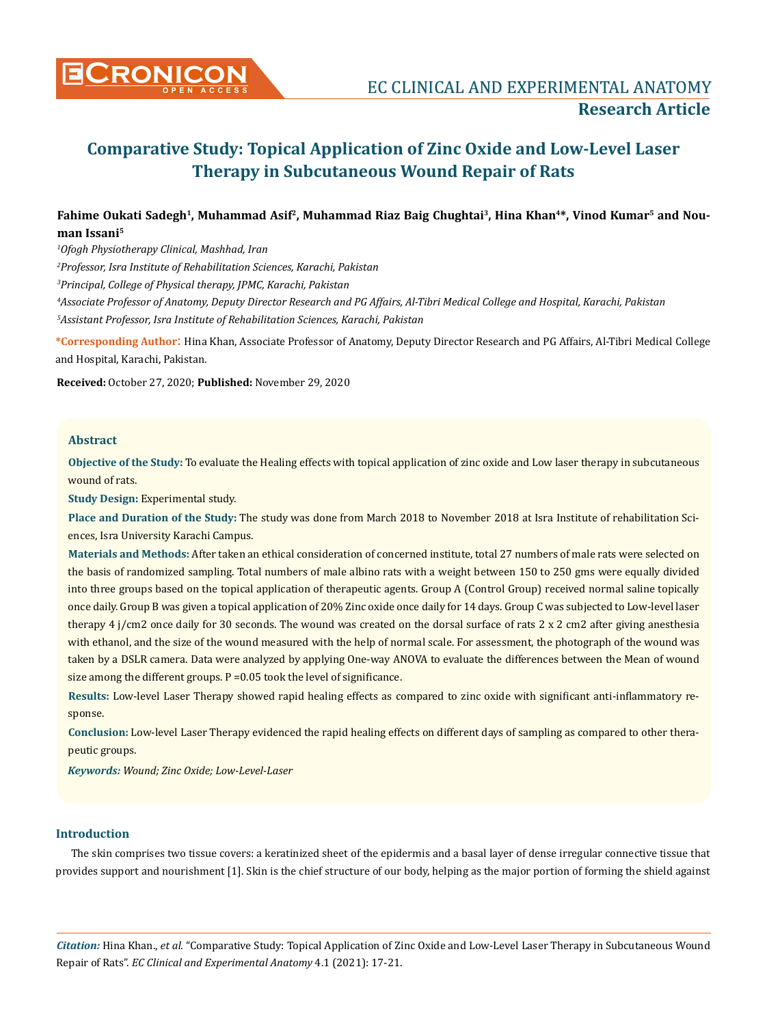

# **Comparative Study: Topical Application of Zinc Oxide and Low-Level Laser Therapy in Subcutaneous Wound Repair of Rats**

# Fahime Oukati Sadegh<sup>1</sup>, Muhammad Asif<sup>2</sup>, Muhammad Riaz Baig Chughtai<sup>3</sup>, Hina Khan<sup>4\*</sup>, Vinod Kumar<sup>5</sup> and Nou**man Issani5**

*1 Ofogh Physiotherapy Clinical, Mashhad, Iran* 

*2 Professor, Isra Institute of Rehabilitation Sciences, Karachi, Pakistan*

*3 Principal, College of Physical therapy, JPMC, Karachi, Pakistan* 

*4 Associate Professor of Anatomy, Deputy Director Research and PG Affairs, Al-Tibri Medical College and Hospital, Karachi, Pakistan 5 Assistant Professor, Isra Institute of Rehabilitation Sciences, Karachi, Pakistan*

**\*Corresponding Author**: Hina Khan, Associate Professor of Anatomy, Deputy Director Research and PG Affairs, Al-Tibri Medical College and Hospital, Karachi, Pakistan.

**Received:** October 27, 2020; **Published:** November 29, 2020

## **Abstract**

**Objective of the Study:** To evaluate the Healing effects with topical application of zinc oxide and Low laser therapy in subcutaneous wound of rats.

**Study Design:** Experimental study.

**Place and Duration of the Study:** The study was done from March 2018 to November 2018 at Isra Institute of rehabilitation Sciences, Isra University Karachi Campus.

**Materials and Methods:** After taken an ethical consideration of concerned institute, total 27 numbers of male rats were selected on the basis of randomized sampling. Total numbers of male albino rats with a weight between 150 to 250 gms were equally divided into three groups based on the topical application of therapeutic agents. Group A (Control Group) received normal saline topically once daily. Group B was given a topical application of 20% Zinc oxide once daily for 14 days. Group C was subjected to Low-level laser therapy 4 j/cm2 once daily for 30 seconds. The wound was created on the dorsal surface of rats 2 x 2 cm2 after giving anesthesia with ethanol, and the size of the wound measured with the help of normal scale. For assessment, the photograph of the wound was taken by a DSLR camera. Data were analyzed by applying One-way ANOVA to evaluate the differences between the Mean of wound size among the different groups. P =0.05 took the level of significance.

**Results:** Low-level Laser Therapy showed rapid healing effects as compared to zinc oxide with significant anti-inflammatory response.

**Conclusion:** Low-level Laser Therapy evidenced the rapid healing effects on different days of sampling as compared to other therapeutic groups.

*Keywords: Wound; Zinc Oxide; Low-Level-Laser* 

## **Introduction**

The skin comprises two tissue covers: a keratinized sheet of the epidermis and a basal layer of dense irregular connective tissue that provides support and nourishment [1]. Skin is the chief structure of our body, helping as the major portion of forming the shield against

*Citation:* Hina Khan., *et al*. "Comparative Study: Topical Application of Zinc Oxide and Low-Level Laser Therapy in Subcutaneous Wound Repair of Rats". *EC Clinical and Experimental Anatomy* 4.1 (2021): 17-21.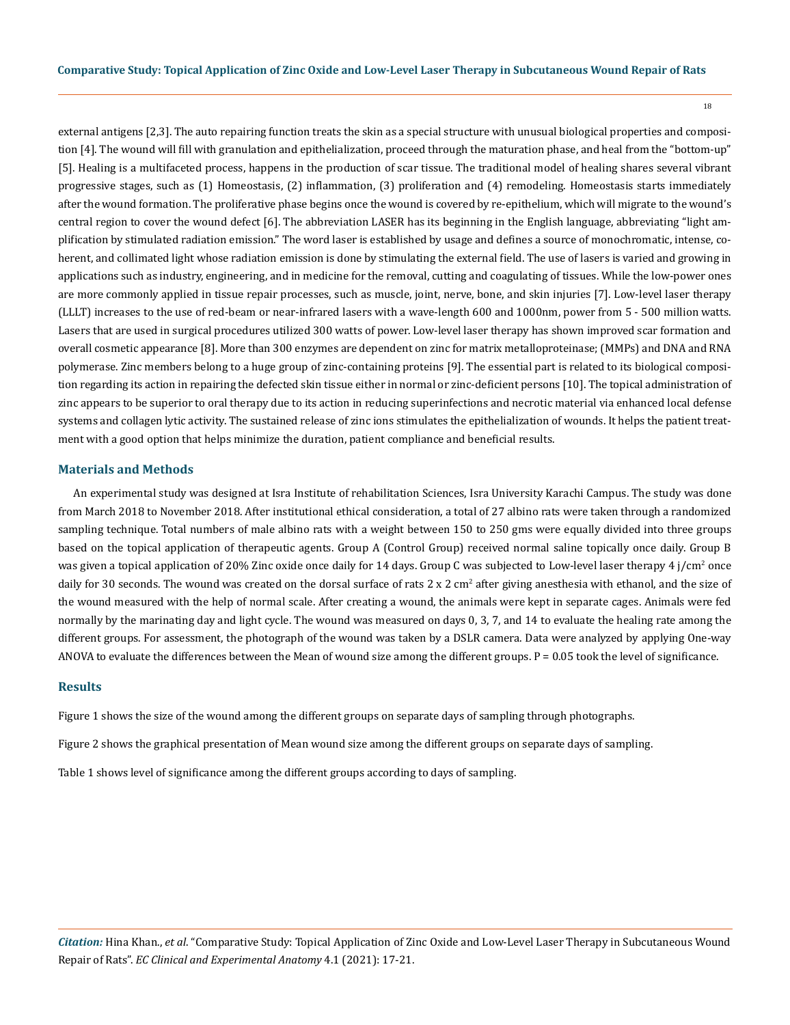18

external antigens [2,3]. The auto repairing function treats the skin as a special structure with unusual biological properties and composition [4]. The wound will fill with granulation and epithelialization, proceed through the maturation phase, and heal from the "bottom-up" [5]. Healing is a multifaceted process, happens in the production of scar tissue. The traditional model of healing shares several vibrant progressive stages, such as (1) Homeostasis, (2) inflammation, (3) proliferation and (4) remodeling. Homeostasis starts immediately after the wound formation. The proliferative phase begins once the wound is covered by re-epithelium, which will migrate to the wound's central region to cover the wound defect [6]. The abbreviation LASER has its beginning in the English language, abbreviating "light amplification by stimulated radiation emission." The word laser is established by usage and defines a source of monochromatic, intense, coherent, and collimated light whose radiation emission is done by stimulating the external field. The use of lasers is varied and growing in applications such as industry, engineering, and in medicine for the removal, cutting and coagulating of tissues. While the low-power ones are more commonly applied in tissue repair processes, such as muscle, joint, nerve, bone, and skin injuries [7]. Low-level laser therapy (LLLT) increases to the use of red-beam or near-infrared lasers with a wave-length 600 and 1000nm, power from 5 - 500 million watts. Lasers that are used in surgical procedures utilized 300 watts of power. Low-level laser therapy has shown improved scar formation and overall cosmetic appearance [8]. More than 300 enzymes are dependent on zinc for matrix metalloproteinase; (MMPs) and DNA and RNA polymerase. Zinc members belong to a huge group of zinc-containing proteins [9]. The essential part is related to its biological composition regarding its action in repairing the defected skin tissue either in normal or zinc-deficient persons [10]. The topical administration of zinc appears to be superior to oral therapy due to its action in reducing superinfections and necrotic material via enhanced local defense systems and collagen lytic activity. The sustained release of zinc ions stimulates the epithelialization of wounds. It helps the patient treatment with a good option that helps minimize the duration, patient compliance and beneficial results.

#### **Materials and Methods**

An experimental study was designed at Isra Institute of rehabilitation Sciences, Isra University Karachi Campus. The study was done from March 2018 to November 2018. After institutional ethical consideration, a total of 27 albino rats were taken through a randomized sampling technique. Total numbers of male albino rats with a weight between 150 to 250 gms were equally divided into three groups based on the topical application of therapeutic agents. Group A (Control Group) received normal saline topically once daily. Group B was given a topical application of 20% Zinc oxide once daily for 14 days. Group C was subjected to Low-level laser therapy 4 j/cm<sup>2</sup> once daily for 30 seconds. The wound was created on the dorsal surface of rats 2 x 2 cm<sup>2</sup> after giving anesthesia with ethanol, and the size of the wound measured with the help of normal scale. After creating a wound, the animals were kept in separate cages. Animals were fed normally by the marinating day and light cycle. The wound was measured on days 0, 3, 7, and 14 to evaluate the healing rate among the different groups. For assessment, the photograph of the wound was taken by a DSLR camera. Data were analyzed by applying One-way ANOVA to evaluate the differences between the Mean of wound size among the different groups.  $P = 0.05$  took the level of significance.

# **Results**

Figure 1 shows the size of the wound among the different groups on separate days of sampling through photographs.

Figure 2 shows the graphical presentation of Mean wound size among the different groups on separate days of sampling.

Table 1 shows level of significance among the different groups according to days of sampling.

*Citation:* Hina Khan., *et al*. "Comparative Study: Topical Application of Zinc Oxide and Low-Level Laser Therapy in Subcutaneous Wound Repair of Rats". *EC Clinical and Experimental Anatomy* 4.1 (2021): 17-21.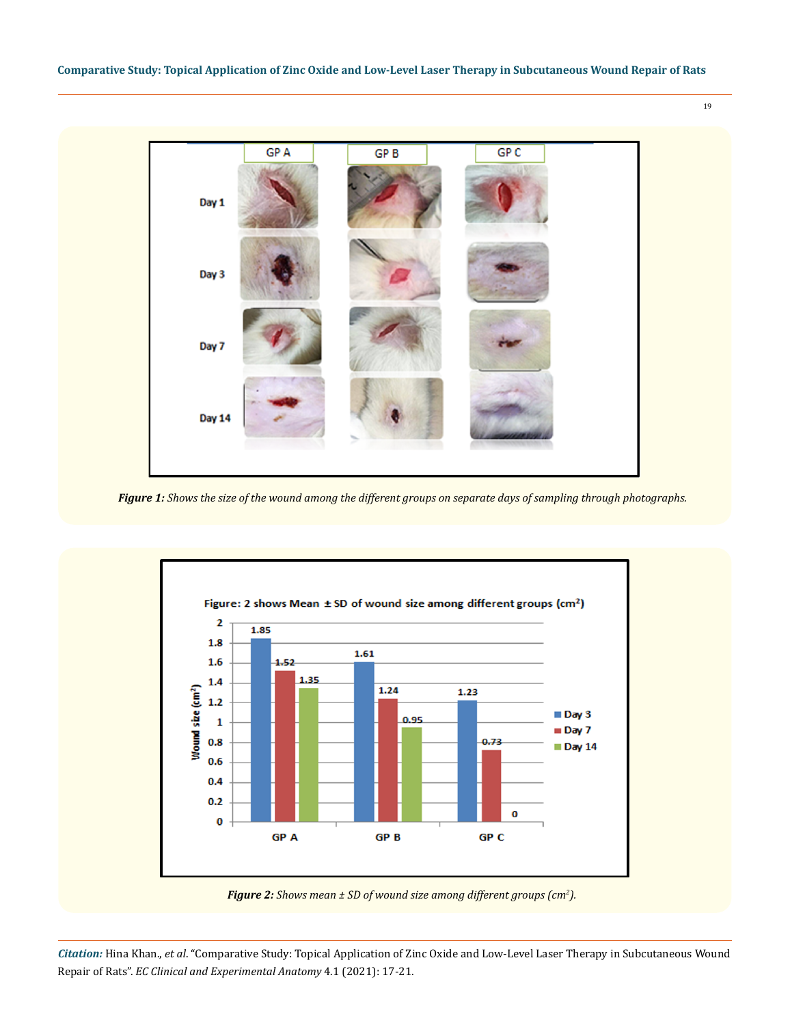

*Figure 1: Shows the size of the wound among the different groups on separate days of sampling through photographs.*



*Figure 2: Shows mean ± SD of wound size among different groups (cm2 ).*

*Citation:* Hina Khan., *et al*. "Comparative Study: Topical Application of Zinc Oxide and Low-Level Laser Therapy in Subcutaneous Wound Repair of Rats". *EC Clinical and Experimental Anatomy* 4.1 (2021): 17-21.

19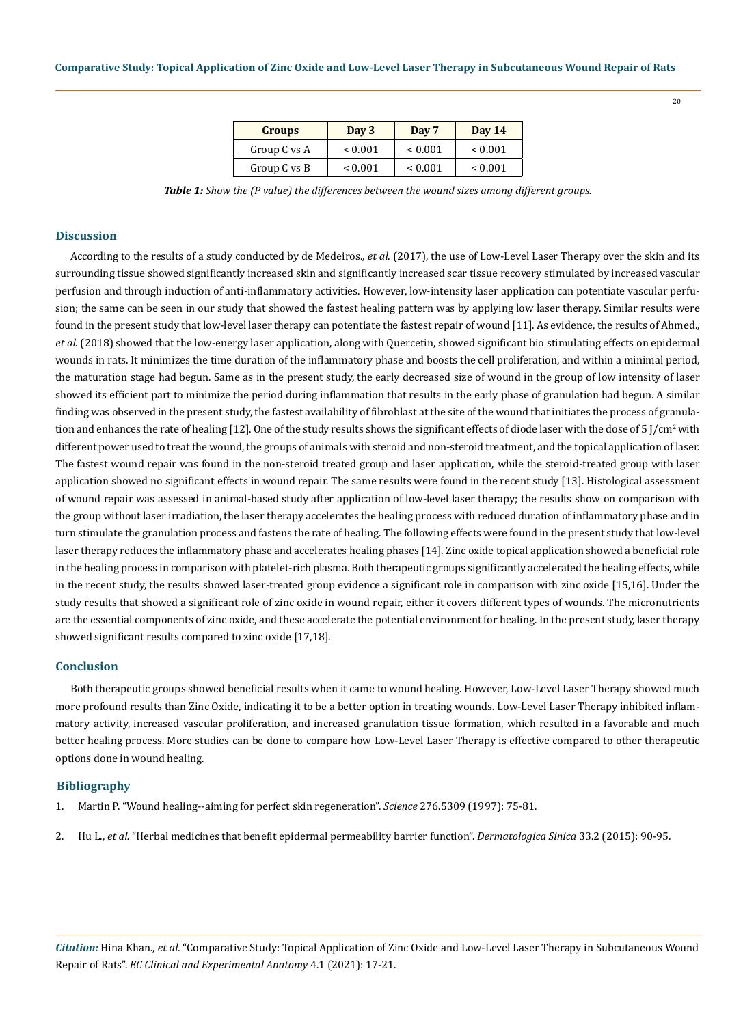| <b>Groups</b> | Day 3        | Day 7        | <b>Day 14</b> |
|---------------|--------------|--------------|---------------|
| Group C vs A  | ${}_{0.001}$ | ${}_{0.001}$ | ${}_{0.001}$  |
| Group C vs B  | ${}_{0.001}$ | ${}_{0.001}$ | ${}_{0.001}$  |

*Table 1: Show the (P value) the differences between the wound sizes among different groups.*

# **Discussion**

According to the results of a study conducted by de Medeiros., *et al*. (2017), the use of Low-Level Laser Therapy over the skin and its surrounding tissue showed significantly increased skin and significantly increased scar tissue recovery stimulated by increased vascular perfusion and through induction of anti-inflammatory activities. However, low-intensity laser application can potentiate vascular perfusion; the same can be seen in our study that showed the fastest healing pattern was by applying low laser therapy. Similar results were found in the present study that low-level laser therapy can potentiate the fastest repair of wound [11]. As evidence, the results of Ahmed., *et al*. (2018) showed that the low-energy laser application, along with Quercetin, showed significant bio stimulating effects on epidermal wounds in rats. It minimizes the time duration of the inflammatory phase and boosts the cell proliferation, and within a minimal period, the maturation stage had begun. Same as in the present study, the early decreased size of wound in the group of low intensity of laser showed its efficient part to minimize the period during inflammation that results in the early phase of granulation had begun. A similar finding was observed in the present study, the fastest availability of fibroblast at the site of the wound that initiates the process of granulation and enhances the rate of healing [12]. One of the study results shows the significant effects of diode laser with the dose of 5 J/cm<sup>2</sup> with different power used to treat the wound, the groups of animals with steroid and non-steroid treatment, and the topical application of laser. The fastest wound repair was found in the non-steroid treated group and laser application, while the steroid-treated group with laser application showed no significant effects in wound repair. The same results were found in the recent study [13]. Histological assessment of wound repair was assessed in animal-based study after application of low-level laser therapy; the results show on comparison with the group without laser irradiation, the laser therapy accelerates the healing process with reduced duration of inflammatory phase and in turn stimulate the granulation process and fastens the rate of healing. The following effects were found in the present study that low-level laser therapy reduces the inflammatory phase and accelerates healing phases [14]. Zinc oxide topical application showed a beneficial role in the healing process in comparison with platelet-rich plasma. Both therapeutic groups significantly accelerated the healing effects, while in the recent study, the results showed laser-treated group evidence a significant role in comparison with zinc oxide [15,16]. Under the study results that showed a significant role of zinc oxide in wound repair, either it covers different types of wounds. The micronutrients are the essential components of zinc oxide, and these accelerate the potential environment for healing. In the present study, laser therapy showed significant results compared to zinc oxide [17,18].

#### **Conclusion**

Both therapeutic groups showed beneficial results when it came to wound healing. However, Low-Level Laser Therapy showed much more profound results than Zinc Oxide, indicating it to be a better option in treating wounds. Low-Level Laser Therapy inhibited inflammatory activity, increased vascular proliferation, and increased granulation tissue formation, which resulted in a favorable and much better healing process. More studies can be done to compare how Low-Level Laser Therapy is effective compared to other therapeutic options done in wound healing.

# **Bibliography**

- 1. [Martin P. "Wound healing--aiming for perfect skin regeneration".](https://science.sciencemag.org/content/276/5309/75) *Science* 276.5309 (1997): 75-81.
- 2. Hu L., *et al.* ["Herbal medicines that benefit epidermal permeability barrier function".](https://www.researchgate.net/publication/277338224_Herbal_medicines_that_benefit_epidermal_permeability_barrier_function) *Dermatologica Sinica* 33.2 (2015): 90-95.

*Citation:* Hina Khan., *et al*. "Comparative Study: Topical Application of Zinc Oxide and Low-Level Laser Therapy in Subcutaneous Wound Repair of Rats". *EC Clinical and Experimental Anatomy* 4.1 (2021): 17-21.

20